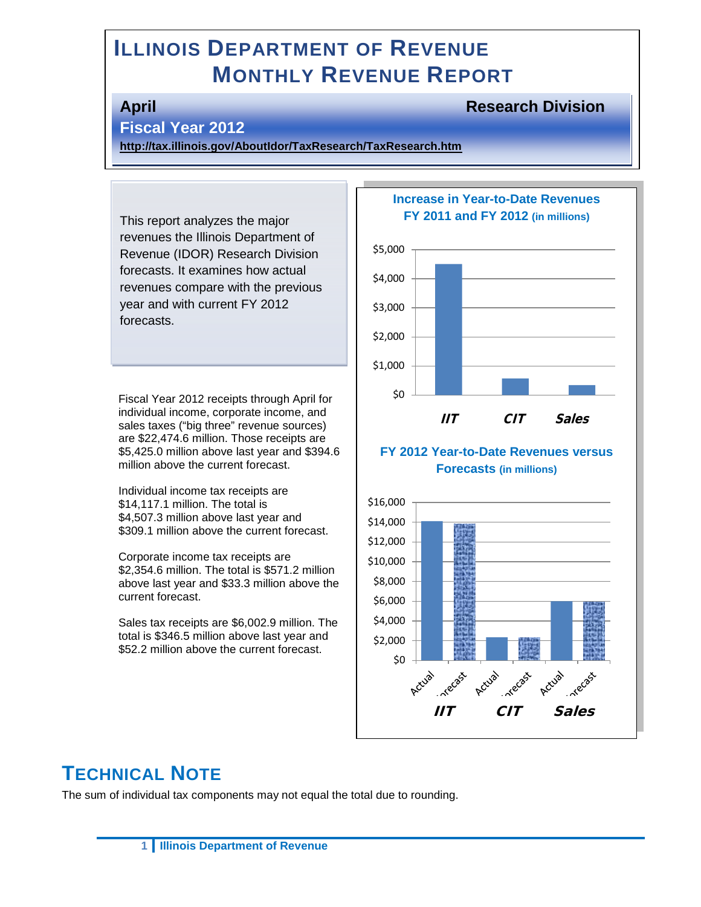# **ILLINOIS DEPARTMENT OF REVENUE MONTHLY REVENUE REPORT**

#### **April Research Division**

#### **Fiscal Year 2012**

**<http://tax.illinois.gov/AboutIdor/TaxResearch/TaxResearch.htm>**

This report analyzes the major revenues the Illinois Department of Revenue (IDOR) Research Division forecasts. It examines how actual revenues compare with the previous year and with current FY 2012 forecasts.

Fiscal Year 2012 receipts through April for individual income, corporate income, and sales taxes ("big three" revenue sources) are \$22,474.6 million. Those receipts are \$5,425.0 million above last year and \$394.6 million above the current forecast.

Individual income tax receipts are \$14,117.1 million. The total is \$4,507.3 million above last year and \$309.1 million above the current forecast.

Corporate income tax receipts are \$2,354.6 million. The total is \$571.2 million above last year and \$33.3 million above the current forecast.

Sales tax receipts are \$6,002.9 million. The total is \$346.5 million above last year and \$52.2 million above the current forecast.

#### **Increase in Year-to-Date Revenues FY 2011 and FY 2012 (in millions)**



#### **FY 2012 Year-to-Date Revenues versus Forecasts (in millions)**



# **TECHNICAL NOTE**

The sum of individual tax components may not equal the total due to rounding.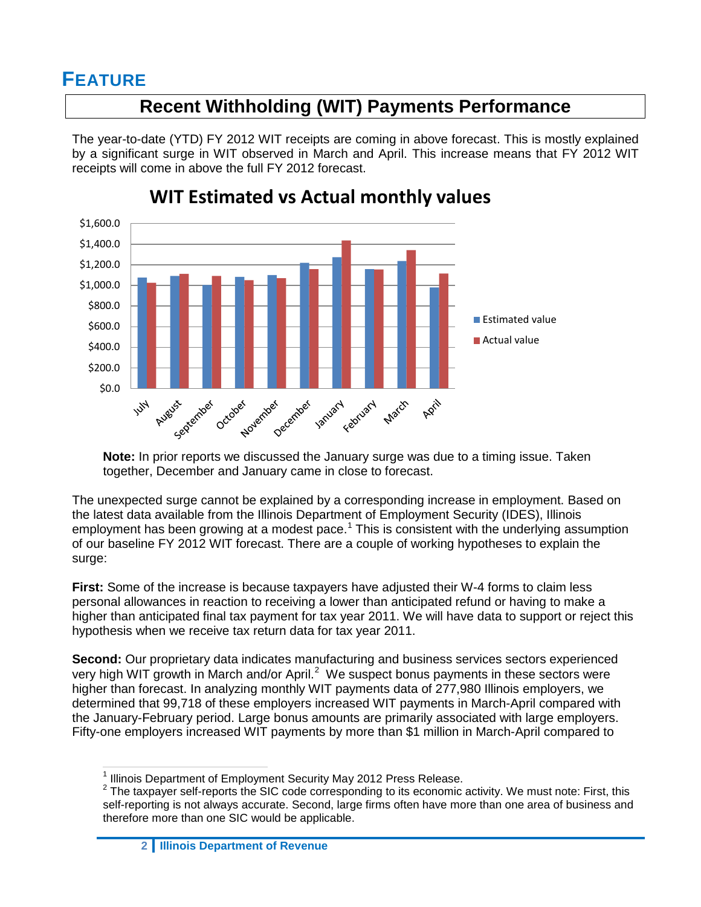# **FEATURE**

# **Recent Withholding (WIT) Payments Performance**

The year-to-date (YTD) FY 2012 WIT receipts are coming in above forecast. This is mostly explained by a significant surge in WIT observed in March and April. This increase means that FY 2012 WIT receipts will come in above the full FY 2012 forecast.



# **WIT Estimated vs Actual monthly values**

**Note:** In prior reports we discussed the January surge was due to a timing issue. Taken together, December and January came in close to forecast.

The unexpected surge cannot be explained by a corresponding increase in employment. Based on the latest data available from the Illinois Department of Employment Security (IDES), Illinois employment has been growing at a modest pace.<sup>[1](#page-1-0)</sup> This is consistent with the underlying assumption of our baseline FY 2012 WIT forecast. There are a couple of working hypotheses to explain the surge:

**First:** Some of the increase is because taxpayers have adjusted their W-4 forms to claim less personal allowances in reaction to receiving a lower than anticipated refund or having to make a higher than anticipated final tax payment for tax year 2011. We will have data to support or reject this hypothesis when we receive tax return data for tax year 2011.

**Second:** Our proprietary data indicates manufacturing and business services sectors experienced very high WIT growth in March and/or April.<sup>[2](#page-1-1)</sup> We suspect bonus payments in these sectors were higher than forecast. In analyzing monthly WIT payments data of 277,980 Illinois employers, we determined that 99,718 of these employers increased WIT payments in March-April compared with the January-February period. Large bonus amounts are primarily associated with large employers. Fifty-one employers increased WIT payments by more than \$1 million in March-April compared to

<span id="page-1-0"></span><sup>&</sup>lt;sup>1</sup> Illinois Department of Employment Security May 2012 Press Release.

<span id="page-1-1"></span> $2$  The taxpayer self-reports the SIC code corresponding to its economic activity. We must note: First, this self-reporting is not always accurate. Second, large firms often have more than one area of business and therefore more than one SIC would be applicable.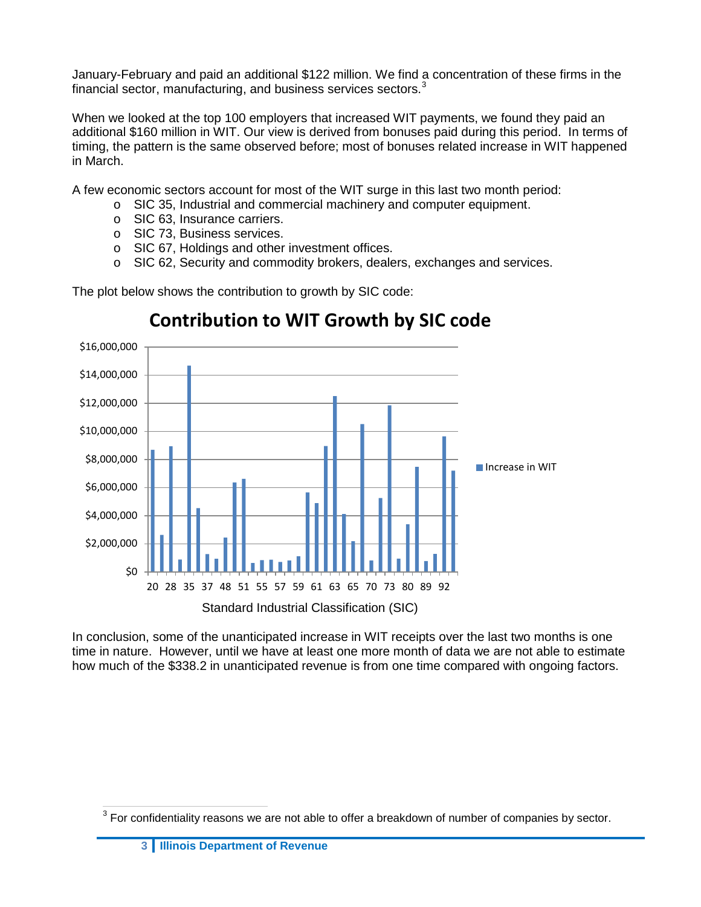January-February and paid an additional \$122 million. We find a concentration of these firms in the financial sector, manufacturing, and business services sectors.<sup>[3](#page-2-0)</sup>

When we looked at the top 100 employers that increased WIT payments, we found they paid an additional \$160 million in WIT. Our view is derived from bonuses paid during this period. In terms of timing, the pattern is the same observed before; most of bonuses related increase in WIT happened in March.

A few economic sectors account for most of the WIT surge in this last two month period:

- o SIC 35, Industrial and commercial machinery and computer equipment.
	- o SIC 63, Insurance carriers.
	- o SIC 73, Business services.
	- o SIC 67, Holdings and other investment offices.
	- o SIC 62, Security and commodity brokers, dealers, exchanges and services.

The plot below shows the contribution to growth by SIC code:



# **Contribution to WIT Growth by SIC code**

In conclusion, some of the unanticipated increase in WIT receipts over the last two months is one time in nature. However, until we have at least one more month of data we are not able to estimate how much of the \$338.2 in unanticipated revenue is from one time compared with ongoing factors.

<span id="page-2-0"></span> $3$  For confidentiality reasons we are not able to offer a breakdown of number of companies by sector.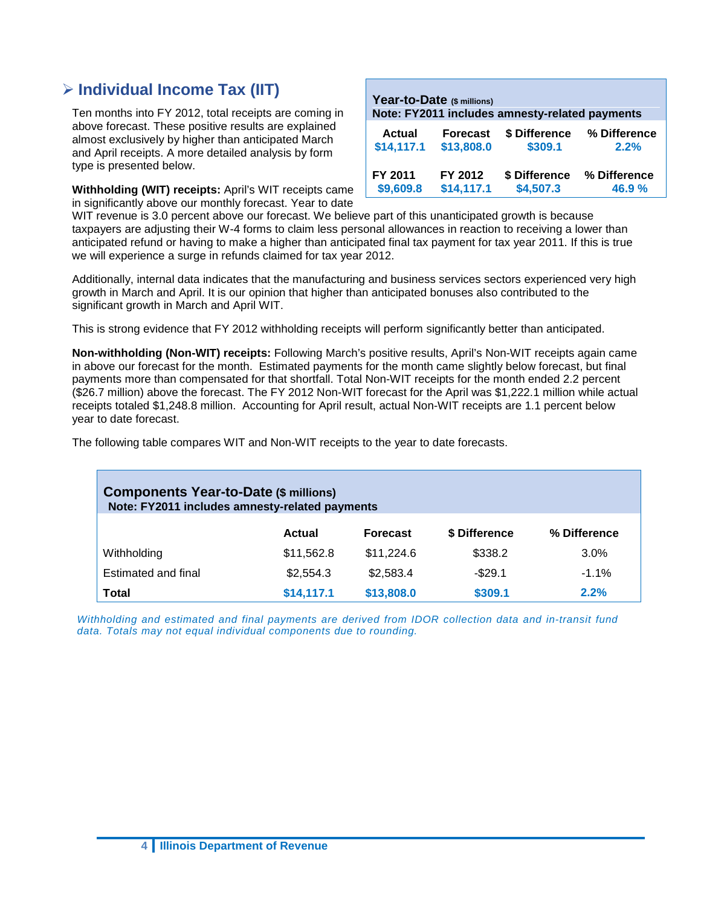### **Individual Income Tax (IIT)**

Ten months into FY 2012, total receipts are coming in above forecast. These positive results are explained almost exclusively by higher than anticipated March and April receipts. A more detailed analysis by form type is presented below.

**Withholding (WIT) receipts:** April's WIT receipts came in significantly above our monthly forecast. Year to date

|               | Year-to-Date (\$ millions) | Note: FY2011 includes amnesty-related payments |              |
|---------------|----------------------------|------------------------------------------------|--------------|
| <b>Actual</b> | <b>Forecast</b>            | \$ Difference                                  | % Difference |
| \$14,117.1    | \$13,808.0                 | \$309.1                                        | 2.2%         |
| FY 2011       | FY 2012                    | \$ Difference                                  | % Difference |
| \$9,609.8     | \$14,117.1                 | \$4,507.3                                      | 46.9%        |

WIT revenue is 3.0 percent above our forecast. We believe part of this unanticipated growth is because taxpayers are adjusting their W-4 forms to claim less personal allowances in reaction to receiving a lower than anticipated refund or having to make a higher than anticipated final tax payment for tax year 2011. If this is true we will experience a surge in refunds claimed for tax year 2012.

Additionally, internal data indicates that the manufacturing and business services sectors experienced very high growth in March and April. It is our opinion that higher than anticipated bonuses also contributed to the significant growth in March and April WIT.

This is strong evidence that FY 2012 withholding receipts will perform significantly better than anticipated.

**Non-withholding (Non-WIT) receipts:** Following March's positive results, April's Non-WIT receipts again came in above our forecast for the month. Estimated payments for the month came slightly below forecast, but final payments more than compensated for that shortfall. Total Non-WIT receipts for the month ended 2.2 percent (\$26.7 million) above the forecast. The FY 2012 Non-WIT forecast for the April was \$1,222.1 million while actual receipts totaled \$1,248.8 million. Accounting for April result, actual Non-WIT receipts are 1.1 percent below year to date forecast.

The following table compares WIT and Non-WIT receipts to the year to date forecasts.

| <b>Components Year-to-Date (\$ millions)</b><br>Note: FY2011 includes amnesty-related payments |            |                 |               |              |  |  |
|------------------------------------------------------------------------------------------------|------------|-----------------|---------------|--------------|--|--|
|                                                                                                | Actual     | <b>Forecast</b> | \$ Difference | % Difference |  |  |
| Withholding                                                                                    | \$11,562.8 | \$11,224.6      | \$338.2       | $3.0\%$      |  |  |
| Estimated and final                                                                            | \$2,554.3  | \$2,583.4       | $-$29.1$      | $-1.1\%$     |  |  |
| Total                                                                                          | \$14,117.1 | \$13,808.0      | \$309.1       | 2.2%         |  |  |

*Withholding and estimated and final payments are derived from IDOR collection data and in-transit fund data. Totals may not equal individual components due to rounding.*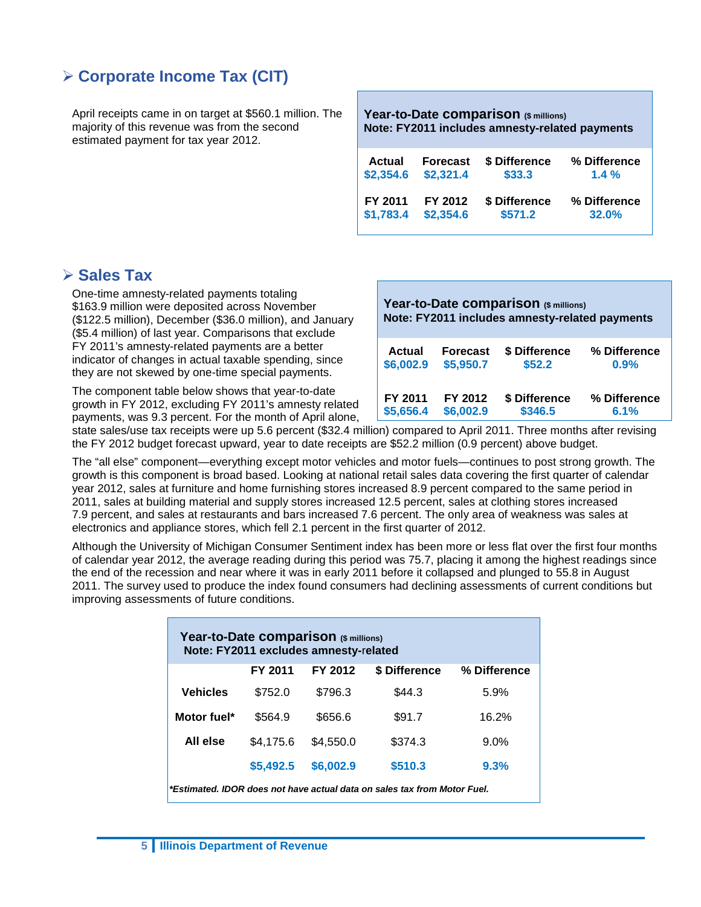## **Corporate Income Tax (CIT)**

April receipts came in on target at \$560.1 million. The majority of this revenue was from the second estimated payment for tax year 2012.

**Year-to-Date comparison (\$ millions) Note: FY2011 includes amnesty-related payments Actual Forecast \$ Difference % Difference \$2,354.6 \$2,321.4 \$33.3 1.4 % FY 2011 FY 2012 \$ Difference % Difference \$1,783.4 \$2,354.6 \$571.2 32.0%**

#### **Sales Tax**

One-time amnesty-related payments totaling \$163.9 million were deposited across November (\$122.5 million), December (\$36.0 million), and January (\$5.4 million) of last year. Comparisons that exclude FY 2011's amnesty-related payments are a better indicator of changes in actual taxable spending, since they are not skewed by one-time special payments.

The component table below shows that year-to-date growth in FY 2012, excluding FY 2011's amnesty related payments, was 9.3 percent. For the month of April alone,

| Year-to-Date comparison (\$ millions)<br>Note: FY2011 includes amnesty-related payments |                 |               |              |  |  |  |  |
|-----------------------------------------------------------------------------------------|-----------------|---------------|--------------|--|--|--|--|
| Actual                                                                                  | <b>Forecast</b> | \$ Difference | % Difference |  |  |  |  |
| \$6,002.9                                                                               | \$5,950.7       | \$52.2        | 0.9%         |  |  |  |  |
| FY 2011                                                                                 | FY 2012         | \$ Difference | % Difference |  |  |  |  |
| \$5,656.4                                                                               | \$6,002.9       | \$346.5       | 6.1%         |  |  |  |  |

state sales/use tax receipts were up 5.6 percent (\$32.4 million) compared to April 2011. Three months after revising the FY 2012 budget forecast upward, year to date receipts are \$52.2 million (0.9 percent) above budget.

The "all else" component—everything except motor vehicles and motor fuels—continues to post strong growth. The growth is this component is broad based. Looking at national retail sales data covering the first quarter of calendar year 2012, sales at furniture and home furnishing stores increased 8.9 percent compared to the same period in 2011, sales at building material and supply stores increased 12.5 percent, sales at clothing stores increased 7.9 percent, and sales at restaurants and bars increased 7.6 percent. The only area of weakness was sales at electronics and appliance stores, which fell 2.1 percent in the first quarter of 2012.

Although the University of Michigan Consumer Sentiment index has been more or less flat over the first four months of calendar year 2012, the average reading during this period was 75.7, placing it among the highest readings since the end of the recession and near where it was in early 2011 before it collapsed and plunged to 55.8 in August 2011. The survey used to produce the index found consumers had declining assessments of current conditions but improving assessments of future conditions.

| Year-to-Date comparison (\$ millions)<br>Note: FY2011 excludes amnesty-related |           |           |               |              |  |
|--------------------------------------------------------------------------------|-----------|-----------|---------------|--------------|--|
|                                                                                | FY 2011   | FY 2012   | \$ Difference | % Difference |  |
| <b>Vehicles</b>                                                                | \$752.0   | \$796.3   | \$44.3        | 5.9%         |  |
| Motor fuel*                                                                    | \$564.9   | \$656.6   | \$91.7        | 16.2%        |  |
| All else                                                                       | \$4,175.6 | \$4,550.0 | \$374.3       | $9.0\%$      |  |
|                                                                                | \$5,492.5 | \$6,002.9 | \$510.3       | 9.3%         |  |
| *Estimated. IDOR does not have actual data on sales tax from Motor Fuel.       |           |           |               |              |  |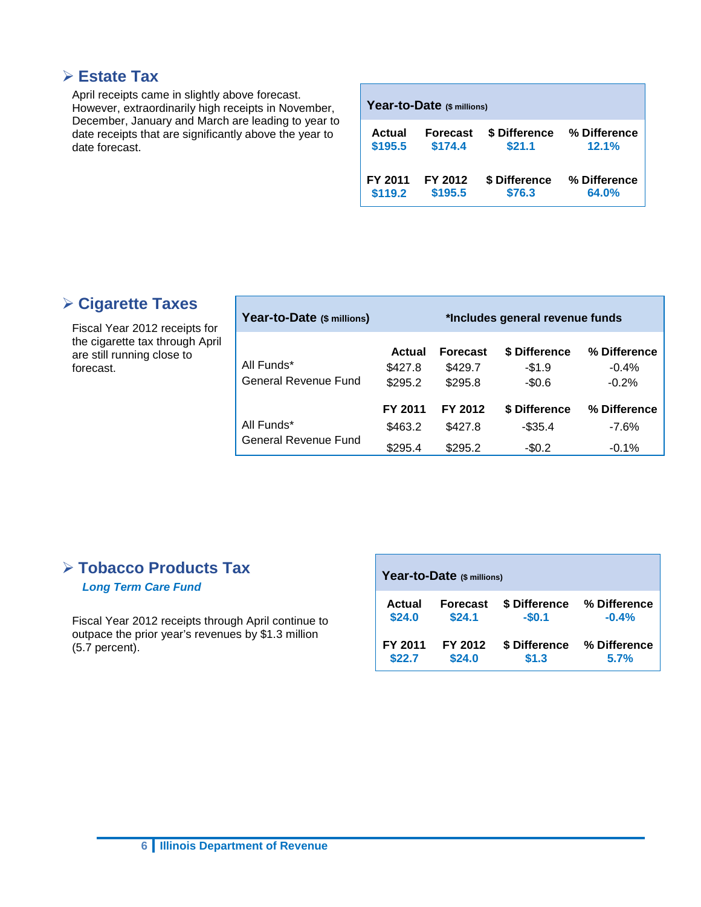#### **Estate Tax**

April receipts came in slightly above forecast. However, extraordinarily high receipts in November, December, January and March are leading to year to date receipts that are significantly above the year to date forecast.

| Year-to-Date (\$ millions) |                 |               |              |  |  |  |  |
|----------------------------|-----------------|---------------|--------------|--|--|--|--|
| <b>Actual</b>              | <b>Forecast</b> | \$ Difference | % Difference |  |  |  |  |
| \$195.5                    | \$174.4         | \$21.1        | 12.1%        |  |  |  |  |
| FY 2011                    | FY 2012         | \$ Difference | % Difference |  |  |  |  |
| \$119.2                    | \$195.5         | \$76.3        | 64.0%        |  |  |  |  |

## **Cigarette Taxes**

Fiscal Year 2012 receipts for the cigarette tax through April are still running close to forecast.

| Year-to-Date (\$ millions)         | *Includes general revenue funds |                                       |                                     |                                    |  |  |  |
|------------------------------------|---------------------------------|---------------------------------------|-------------------------------------|------------------------------------|--|--|--|
| All Funds*<br>General Revenue Fund | Actual<br>\$427.8<br>\$295.2    | <b>Forecast</b><br>\$429.7<br>\$295.8 | \$ Difference<br>$-$1.9$<br>$-$0.6$ | % Difference<br>$-0.4%$<br>$-0.2%$ |  |  |  |
| All Funds*<br>General Revenue Fund | FY 2011<br>\$463.2<br>\$295.4   | FY 2012<br>\$427.8<br>\$295.2         | \$ Difference<br>-\$35.4<br>$-$0.2$ | % Difference<br>$-7.6%$<br>$-0.1%$ |  |  |  |

## **Tobacco Products Tax**

*Long Term Care Fund*

Fiscal Year 2012 receipts through April continue to outpace the prior year's revenues by \$1.3 million (5.7 percent).

| Year-to-Date (\$ millions) |  |                           |                          |  |                         |  |
|----------------------------|--|---------------------------|--------------------------|--|-------------------------|--|
| Actual<br>\$24.0           |  | <b>Forecast</b><br>\$24.1 | \$ Difference<br>$-$0.1$ |  | % Difference<br>$-0.4%$ |  |
| FY 2011<br>\$22.7          |  | FY 2012<br>\$24.0         | \$ Difference<br>\$1.3   |  | % Difference<br>5.7%    |  |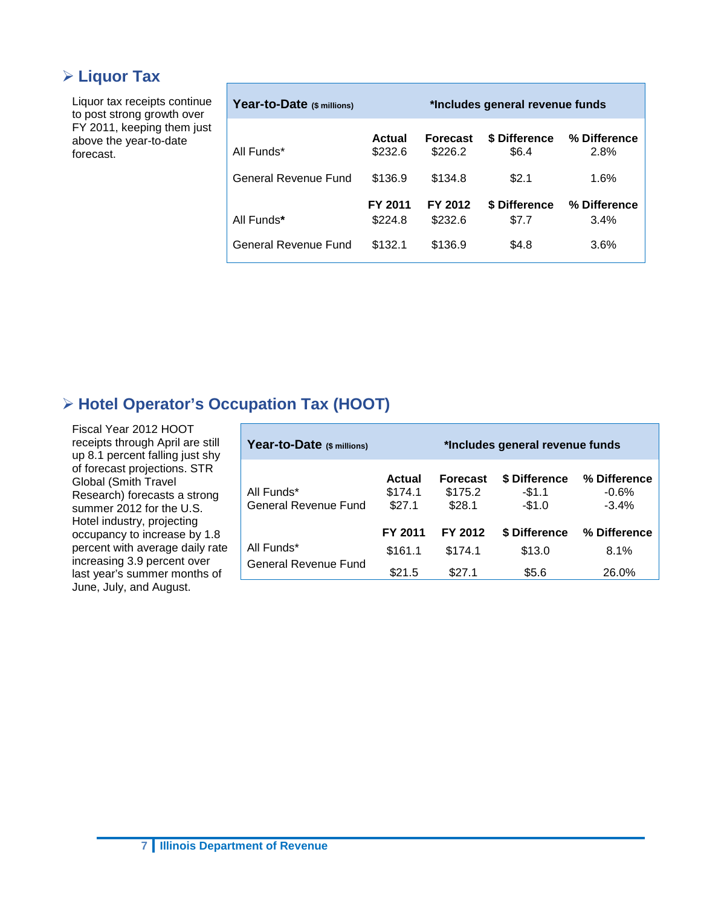### **Liquor Tax**

Liquor tax receipts continue to post strong growth over FY 2011, keeping them just above the year-to-date forecast.

| Year-to-Date (\$ millions)  |                    | *Includes general revenue funds |                        |                      |
|-----------------------------|--------------------|---------------------------------|------------------------|----------------------|
| All Funds*                  | Actual<br>\$232.6  | <b>Forecast</b><br>\$226.2      | \$ Difference<br>\$6.4 | % Difference<br>2.8% |
| General Revenue Fund        | \$136.9            | \$134.8                         | \$2.1                  | 1.6%                 |
| All Funds*                  | FY 2011<br>\$224.8 | FY 2012<br>\$232.6              | \$ Difference<br>\$7.7 | % Difference<br>3.4% |
| <b>General Revenue Fund</b> | \$132.1            | \$136.9                         | \$4.8                  | 3.6%                 |

## **Hotel Operator's Occupation Tax (HOOT)**

Fiscal Year 2012 HOOT receipts through April are still up 8.1 percent falling just shy of forecast projections. STR Global (Smith Travel Research) forecasts a strong summer 2012 for the U.S. Hotel industry, projecting occupancy to increase by 1.8 percent with average daily rate increasing 3.9 percent over last year's summer months of June, July, and August.

| Year-to-Date (\$ millions)         | *Includes general revenue funds    |                                      |                                     |                                    |
|------------------------------------|------------------------------------|--------------------------------------|-------------------------------------|------------------------------------|
| All Funds*<br>General Revenue Fund | <b>Actual</b><br>\$174.1<br>\$27.1 | <b>Forecast</b><br>\$175.2<br>\$28.1 | \$ Difference<br>$-$1.1$<br>$-$1.0$ | % Difference<br>$-0.6%$<br>$-3.4%$ |
|                                    | FY 2011                            | FY 2012                              | \$ Difference                       | % Difference                       |
| All Funds*                         | \$161.1                            | \$174.1                              | \$13.0                              | 8.1%                               |
| General Revenue Fund               | \$21.5                             | \$27.1                               | \$5.6                               | 26.0%                              |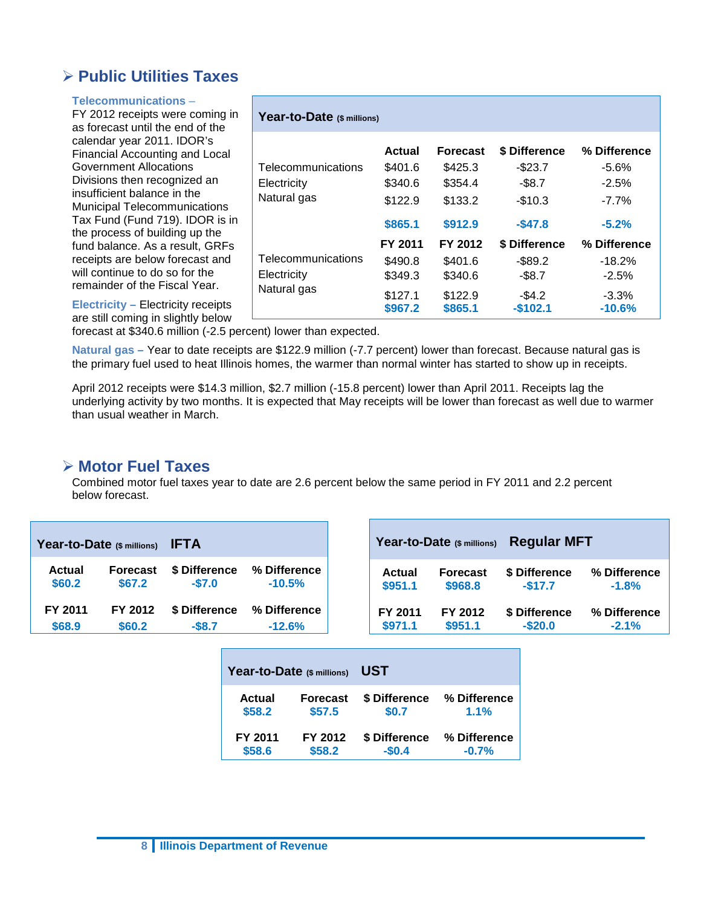### **Public Utilities Taxes**

#### **Telecommunications** –

FY 2012 receipts were coming in as forecast until the end of the calendar year 2011. IDOR's Financial Accounting and Local Government Allocations Divisions then recognized an insufficient balance in the Municipal Telecommunications Tax Fund (Fund 719). IDOR is in the process of building up the fund balance. As a result, GRFs receipts are below forecast and will continue to do so for the remainder of the Fiscal Year.

**Electricity –** Electricity receipts are still coming in slightly below

| Year-to-Date (\$ millions)                       |                                          |                                                  |                                                      |                                                |
|--------------------------------------------------|------------------------------------------|--------------------------------------------------|------------------------------------------------------|------------------------------------------------|
| Telecommunications<br>Electricity<br>Natural gas | Actual<br>\$401.6<br>\$340.6<br>\$122.9  | <b>Forecast</b><br>\$425.3<br>\$354.4<br>\$133.2 | \$ Difference<br>$-$ \$23.7<br>$-$ \$8.7<br>$-$10.3$ | % Difference<br>$-5.6%$<br>$-2.5%$<br>$-7.7\%$ |
|                                                  | \$865.1<br>FY 2011                       | \$912.9<br>FY 2012                               | $-$ \$47.8<br>\$ Difference                          | $-5.2\%$<br>% Difference                       |
| Telecommunications<br>Electricity<br>Natural gas | \$490.8<br>\$349.3<br>\$127.1<br>\$967.2 | \$401.6<br>\$340.6<br>\$122.9<br>\$865.1         | $-$ \$89.2<br>$-$ \$8.7<br>$-$ \$4.2<br>$-$102.1$    | $-18.2%$<br>$-2.5\%$<br>$-3.3\%$<br>$-10.6%$   |

forecast at \$340.6 million (-2.5 percent) lower than expected.

**Natural gas –** Year to date receipts are \$122.9 million (-7.7 percent) lower than forecast. Because natural gas is the primary fuel used to heat Illinois homes, the warmer than normal winter has started to show up in receipts.

April 2012 receipts were \$14.3 million, \$2.7 million (-15.8 percent) lower than April 2011. Receipts lag the underlying activity by two months. It is expected that May receipts will be lower than forecast as well due to warmer than usual weather in March.

#### **Motor Fuel Taxes**

Combined motor fuel taxes year to date are 2.6 percent below the same period in FY 2011 and 2.2 percent below forecast.

|         | Year-to-Date (\$ millions) | <b>IFTA</b>   |              |         | Year-to-Date (\$ millions) | <b>Regular MFT</b> |              |
|---------|----------------------------|---------------|--------------|---------|----------------------------|--------------------|--------------|
| Actual  | <b>Forecast</b>            | \$ Difference | % Difference | Actual  | <b>Forecast</b>            | \$ Difference      | % Difference |
| \$60.2  | \$67.2                     | $-$7.0$       | $-10.5%$     | \$951.1 | \$968.8                    | $-$17.7$           | $-1.8%$      |
| FY 2011 | FY 2012                    | \$ Difference | % Difference | FY 2011 | FY 2012                    | \$ Difference      | % Difference |
| \$68.9  | \$60.2                     | $-$ \$8.7     | $-12.6%$     | \$971.1 | \$951.1                    | $-$ \$20.0         | $-2.1%$      |

|         | Year-to-Date (\$ millions) | UST           |              |
|---------|----------------------------|---------------|--------------|
| Actual  | <b>Forecast</b>            | \$ Difference | % Difference |
| \$58.2  | \$57.5                     | \$0.7         | $1.1\%$      |
| FY 2011 | FY 2012                    | \$ Difference | % Difference |
| \$58.6  | \$58.2                     | $-$0.4$       | $-0.7%$      |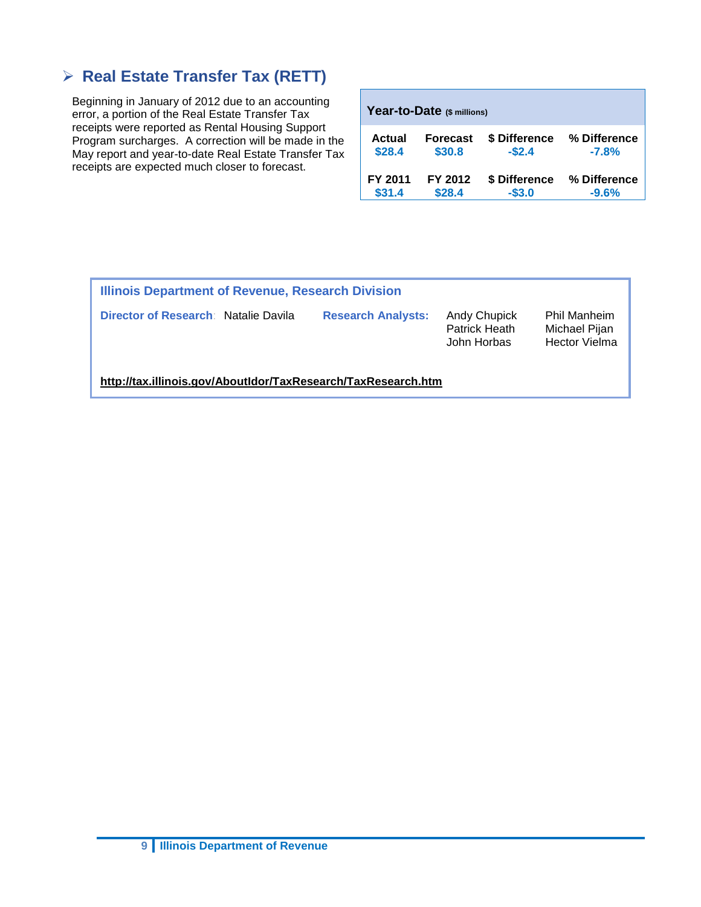## **Real Estate Transfer Tax (RETT)**

Beginning in January of 2012 due to an accounting error, a portion of the Real Estate Transfer Tax receipts were reported as Rental Housing Support Program surcharges. A correction will be made in the May report and year-to-date Real Estate Transfer Tax receipts are expected much closer to forecast.

| Year-to-Date (\$ millions) |                 |               |              |  |  |  |  |  |  |  |
|----------------------------|-----------------|---------------|--------------|--|--|--|--|--|--|--|
| Actual                     | <b>Forecast</b> | \$ Difference | % Difference |  |  |  |  |  |  |  |
| \$28.4                     | \$30.8          | $-$2.4$       | $-7.8%$      |  |  |  |  |  |  |  |
| FY 2011                    | FY 2012         | \$ Difference | % Difference |  |  |  |  |  |  |  |
| \$31.4                     | \$28.4          | $-$3.0$       | $-9.6%$      |  |  |  |  |  |  |  |

| Illinois Department of Revenue, Research Division             |                           |                                                     |                                                       |  |  |  |  |  |  |  |  |
|---------------------------------------------------------------|---------------------------|-----------------------------------------------------|-------------------------------------------------------|--|--|--|--|--|--|--|--|
| Director of Research: Natalie Davila                          | <b>Research Analysts:</b> | <b>Andy Chupick</b><br>Patrick Heath<br>John Horbas | Phil Manheim<br>Michael Pijan<br><b>Hector Vielma</b> |  |  |  |  |  |  |  |  |
| http://tax.illinois.gov/AboutIdor/TaxResearch/TaxResearch.htm |                           |                                                     |                                                       |  |  |  |  |  |  |  |  |